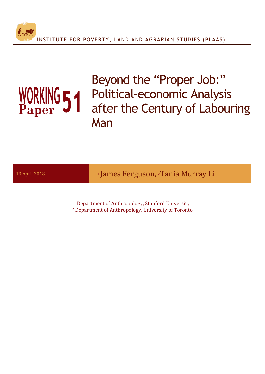

Beyond the "Proper Job:" Political-economic Analysis after the Century of Labouring Man

13 April 2018 **19 Contact 12 Contact 11 James Ferguson**, <sup>2</sup>Tania Murray Li

<sup>1</sup>Department of Anthropology, Stanford University <sup>2</sup> Department of Anthropology, University of Toronto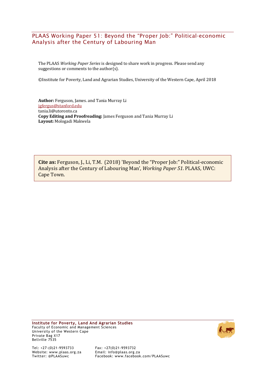#### PLAAS Working Paper 51: Beyond the "Proper Job:" Political-economic Analysis after the Century of Labouring Man

The PLAAS *Working Paper Series* is designed to share work in progress. Please send any suggestions or comments to the  $author(s)$ .

©Institute for Poverty, Land and Agrarian Studies, University of the Western Cape, April 2018

Author: Ferguson, James. and Tania Murray Li jgfergus@stanford.edu tania.li@utoronto.ca **Copy Editing and Proofreading:** James Ferguson and Tania Murray Li Layout: Mologadi Makwela

**Cite as:** Ferguson, J., Li, T.M. (2018) 'Beyond the "Proper Job:" Political-economic Analysis after the Century of Labouring Man', *Working Paper 51*. PLAAS, UWC: Cape Town.

**Institute for Poverty, Land And Agrarian Studies** Faculty of Economic and Management Sciences University of the Western Cape Private Bag X17 Bellville 7535



Tel: +27-(0)21-9593733 Fax: +27(0)21-9593732 Website: www.plaas.org.za<br>Twitter: @PLAASuwc

Facebook: www.facebook.com/PLAASuwc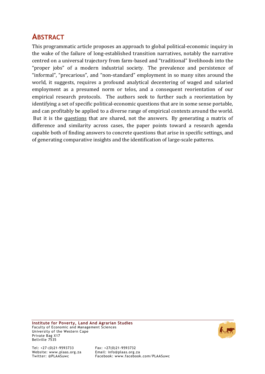# **ABSTRACT**

This programmatic article proposes an approach to global political-economic inquiry in the wake of the failure of long-established transition narratives, notably the narrative centred on a universal trajectory from farm-based and "traditional" livelihoods into the "proper jobs" of a modern industrial society. The prevalence and persistence of "informal", "precarious", and "non-standard" employment in so many sites around the world, it suggests, requires a profound analytical decentering of waged and salaried employment as a presumed norm or telos, and a consequent reorientation of our empirical research protocols. The authors seek to further such a reorientation by identifying a set of specific political-economic questions that are in some sense portable, and can profitably be applied to a diverse range of empirical contexts around the world. But it is the questions that are shared, not the answers. By generating a matrix of difference and similarity across cases, the paper points toward a research agenda capable both of finding answers to concrete questions that arise in specific settings, and of generating comparative insights and the identification of large-scale patterns.



Facebook: www.facebook.com/PLAASuwc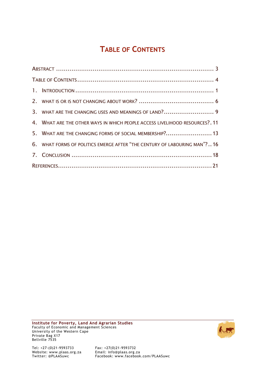# **TABLE OF CONTENTS**

|  | 3. WHAT ARE THE CHANGING USES AND MEANINGS OF LAND? 9                       |  |
|--|-----------------------------------------------------------------------------|--|
|  | 4. WHAT ARE THE OTHER WAYS IN WHICH PEOPLE ACCESS LIVELIHOOD RESOURCES?. 11 |  |
|  | 5. WHAT ARE THE CHANGING FORMS OF SOCIAL MEMBERSHIP ? 13                    |  |
|  | 6. WHAT FORMS OF POLITICS EMERGE AFTER "THE CENTURY OF LABOURING MAN"? 16   |  |
|  |                                                                             |  |
|  |                                                                             |  |

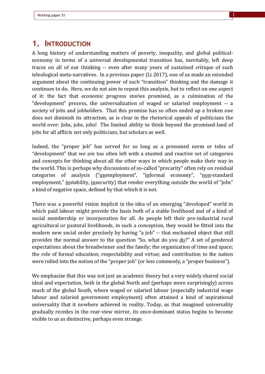### **1. INTRODUCTION**

A long history of understanding matters of poverty, inequality, and global politicaleconomy in terms of a universal developmental transition has, inevitably, left deep traces on all of our thinking -- even after many years of sustained critique of such teleological meta-narratives. In a previous paper (Li 2017), one of us made an extended argument about the continuing power of such "transition" thinking and the damage it continues to do. Here, we do not aim to repeat this analysis, but to reflect on one aspect of it: the fact that economic progress stories promised, as a culmination of the "development" process, the universalization of waged or salaried employment -- a society of jobs and jobholders. That this promise has so often ended up a broken one does not diminish its attraction, as is clear in the rhetorical appeals of politicians the world over: Jobs, jobs, jobs! The limited ability to think beyond the promised-land of jobs for all afflicts not only politicians, but scholars as well.

Indeed, the "proper job" has served for so long as a presumed norm or telos of "development" that we are too often left with a stunted and reactive set of categories and concepts for thinking about all the other ways in which people make their way in the world. This is perhaps why discussions of so-called "precarity" often rely on residual categories of analysis ("unemployment", "informal economy", "non-standard employment," instability, insecurity) that render everything outside the world of "jobs" a kind of negative space, defined by that which it is not.

There was a powerful vision implicit in the idea of an emerging "developed" world in which paid labour might provide the basis both of a stable livelihood and of a kind of social membership or incorporation for all. As people left their pre-industrial rural agricultural or pastoral livelihoods, in such a conception, they would be fitted into the modern new social order precisely by having "a job" -- that enchanted object that still provides the normal answer to the question "So, what do you  $d\rho$ ?" A set of gendered expectations about the breadwinner and the family; the organization of time and space; the role of formal education; respectability and virtue; and contribution to the nation were rolled into the notion of the "proper job" (or less commonly, a "proper business").

We emphasize that this was not just an academic theory but a very widely shared social ideal and expectation, both in the global North and (perhaps more surprisingly) across much of the global South, where waged or salaried labour (especially industrial wage labour and salaried government employment) often attained a kind of aspirational universality that it nowhere achieved in reality. Today, as that imagined universality gradually recedes in the rear-view mirror, its once-dominant status begins to become visible to us as distinctive, perhaps even strange.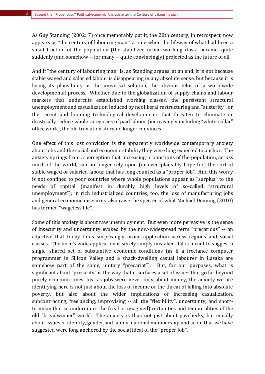As Guy Standing (2002: 7) once memorably put it, the 20th century, in retrospect, now appears as "the century of labouring man," a time when the lifeway of what had been a small fraction of the population (the stabilized urban working class) became, quite suddenly (and somehow -- for many -- quite convincingly) projected as the future of all.

And if "the century of labouring man" is, as Standing argues, at an end, it is not because stable waged and salaried labour is disappearing in any absolute sense, but because it is losing its plausibility as the universal solution, the obvious telos of a worldwide developmental process. Whether due to the globalization of supply chains and labour markets that undercuts established working classes, the persistent structural unemployment and casualization induced by neoliberal restructuring and "austerity", or the recent and looming technological developments that threaten to eliminate or drastically reduce whole categories of paid labour (increasingly including "white-collar" office work), the old transition story no longer convinces.

One effect of this lost conviction is the apparently worldwide contemporary anxiety about jobs and the social and economic stability they were long expected to anchor. The anxiety springs from a perception that increasing proportions of the population, across much of the world, can no longer rely upon (or even plausibly hope for) the sort of stable waged or salaried labour that has long counted as a "proper job". And this worry is not confined to poor countries where whole populations appear as "surplus" to the needs of capital (manifest in durably high levels of so-called "structural unemployment"); in rich industrialized countries, too, the loss of manufacturing jobs and general economic insecurity also raise the specter of what Michael Denning (2010) has termed "wageless life".

Some of this anxiety is about raw unemployment. But even more pervasive is the sense of insecurity and uncertainty evoked by the now-widespread term "precarious" -- an adjective that today finds surprisingly broad application across regions and social classes. The term's wide application is surely simply mistaken if it is meant to suggest a single, shared set of substantive economic conditions (as if a freelance computer programmer in Silicon Valley and a shack-dwelling casual labourer in Lusaka are somehow part of the same, unitary "precariat"). But, for our purposes, what is significant about "precarity" is the way that it surfaces a set of issues that go far beyond purely economic ones. Just as jobs were never only about money, the anxiety we are identifying here is not just about the loss of income or the threat of falling into absolute poverty, but also about the wider implications of increasing casualization, subcontracting, freelancing, improvising -- all the "flexibility", uncertainty, and shorttermism that so undermines the (real or imagined) certainties and temporalities of the old "breadwinner" world. The anxiety is thus not just about paychecks, but equally about issues of identity, gender and family, national membership and so on that we have suggested were long anchored by the social ideal of the "proper job".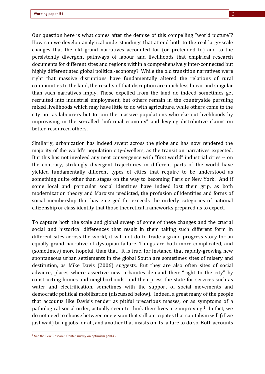Our question here is what comes after the demise of this compelling "world picture"? How can we develop analytical understandings that attend both to the real large-scale changes that the old grand narratives accounted for (or pretended to) and to the persistently divergent pathways of labour and livelihoods that empirical research documents for different sites and regions within a comprehensively inter-connected but highly differentiated global political-economy? While the old transition narratives were right that massive disruptions have fundamentally altered the relations of rural communities to the land, the results of that disruption are much less linear and singular than such narratives imply. Those expelled from the land do indeed sometimes get recruited into industrial employment, but others remain in the countryside pursuing mixed livelihoods which may have little to do with agriculture, while others come to the city not as labourers but to join the massive populations who eke out livelihoods by improvising in the so-called "informal economy" and levying distributive claims on better-resourced others.

Similarly, urbanization has indeed swept across the globe and has now rendered the majority of the world's population city-dwellers, as the transition narratives expected. But this has not involved any neat convergence with "first world" industrial cities -- on the contrary, strikingly divergent trajectories in different parts of the world have yielded fundamentally different types of cities that require to be understood as something quite other than stages on the way to becoming Paris or New York. And if some local and particular social identities have indeed lost their grip, as both modernization theory and Marxism predicted, the profusion of identities and forms of social membership that has emerged far exceeds the orderly categories of national citizenship or class identity that those theoretical frameworks prepared us to expect.

To capture both the scale and global sweep of some of these changes and the crucial social and historical differences that result in them taking such different form in different sites across the world, it will not do to trade a grand progress story for an equally grand narrative of dystopian failure. Things are both more complicated, and (sometimes) more hopeful, than that. It is true, for instance, that rapidly-growing new spontaneous urban settlements in the global South are sometimes sites of misery and destitution, as Mike Davis (2006) suggests. But they are also often sites of social advance, places where assertive new urbanites demand their "right to the city" by constructing homes and neighborhoods, and then press the state for services such as water and electrification, sometimes with the support of social movements and democratic political mobilization (discussed below). Indeed, a great many of the people that accounts like Davis's render as pitiful precarious masses, or as symptoms of a pathological social order, actually seem to think their lives are improving.<sup>1</sup> In fact, we do not need to choose between one vision that still anticipates that capitalism will (if we just wait) bring jobs for all, and another that insists on its failure to do so. Both accounts

<sup>&</sup>lt;sup>1</sup> See the Pew Research Center survey on optimism  $(2014)$ .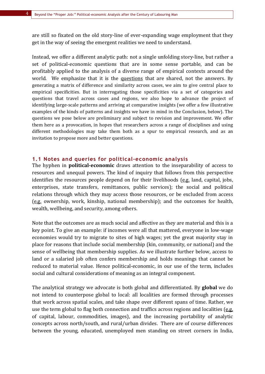are still so fixated on the old story-line of ever-expanding wage employment that they get in the way of seeing the emergent realities we need to understand.

Instead, we offer a different analytic path: not a single unfolding story-line, but rather a set of political-economic questions that are in some sense portable, and can be profitably applied to the analysis of a diverse range of empirical contexts around the world. We emphasize that it is the questions that are shared, not the answers. By generating a matrix of difference and similarity across cases, we aim to give central place to empirical specificities. But in interrogating those specificities via a set of categories and questions that travel across cases and regions, we also hope to advance the project of identifying large-scale patterns and arriving at comparative insights (we offer a few illustrative examples of the kinds of patterns and insights we have in mind in the Conclusion, below). The questions we pose below are preliminary and subject to revision and improvement. We offer them here as a provocation, in hopes that researchers across a range of disciplines and using different methodologies may take them both as a spur to empirical research, and as an invitation to propose more and better questions.

#### **1.1 Notes and queries for political-economic analysis**

The hyphen in **political-economic** draws attention to the inseparability of access to resources and unequal powers. The kind of inquiry that follows from this perspective identifies the resources people depend on for their livelihoods  $(e.g.$  land, capital, jobs, enterprises, state transfers, remittances, public services); the social and political relations through which they may access those resources, or be excluded from access  $(e.g.$  ownership, work, kinship, national membership); and the outcomes for health, wealth, wellbeing, and security, among others.

Note that the outcomes are as much social and affective as they are material and this is a key point. To give an example: if incomes were all that mattered, everyone in low-wage economies would try to migrate to sites of high wages; yet the great majority stay in place for reasons that include social membership (kin, community, or national) and the sense of wellbeing that membership supplies. As we illustrate further below, access to land or a salaried job often confers membership and holds meanings that cannot be reduced to material value. Hence political-economic, in our use of the term, includes social and cultural considerations of meaning as an integral component.

The analytical strategy we advocate is both global and differentiated. By **global** we do not intend to counterpose global to local: all localities are formed through processes that work across spatial scales, and take shape over different spans of time. Rather, we use the term global to flag both connection and traffics across regions and localities (e.g. of capital, labour, commodities, images), and the increasing portability of analytic concepts across north/south, and rural/urban divides. There are of course differences between the young, educated, unemployed men standing on street corners in India,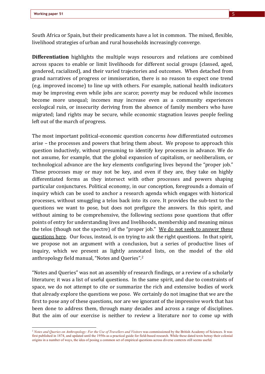South Africa or Spain, but their predicaments have a lot in common. The mixed, flexible, livelihood strategies of urban and rural households increasingly converge.

**Differentiation** highlights the multiple ways resources and relations are combined across spaces to enable or limit livelihoods for different social groups (classed, aged, gendered, racialized), and their varied trajectories and outcomes. When detached from grand narratives of progress or immiseration, there is no reason to expect one trend (e.g. improved income) to line up with others. For example, national health indicators may be improving even while jobs are scarce; poverty may be reduced while incomes become more unequal; incomes may increase even as a community experiences ecological ruin, or insecurity deriving from the absence of family members who have migrated; land rights may be secure, while economic stagnation leaves people feeling left out of the march of progress.

The most important political-economic question concerns *how* differentiated outcomes arise – the processes and powers that bring them about. We propose to approach this question inductively, without presuming to identify key processes in advance. We do not assume, for example, that the global expansion of capitalism, or neoliberalism, or technological advance are the key elements configuring lives beyond the "proper job." These processes may or may not be key, and even if they are, they take on highly differentiated forms as they intersect with other processes and powers shaping particular conjunctures. Political economy, in our conception, foregrounds a domain of inquiry which can be used to anchor a research agenda which engages with historical processes, without smuggling a telos back into its core. It provides the sub-text to the questions we want to pose, but does not prefigure the answers. In this spirit, and without aiming to be comprehensive, the following sections pose questions that offer points of entry for understanding lives and livelihoods, membership and meaning minus the telos (though not the spectre) of the "proper job." We do not seek to answer these questions here. Our focus, instead, is on trying to ask the right questions. In that spirit, we propose not an argument with a conclusion, but a series of productive lines of inquiry, which we present as lightly annotated lists, on the model of the old anthropology field manual, "Notes and Queries".<sup>2</sup>

"Notes and Queries" was not an assembly of research findings, or a review of a scholarly literature; it was a list of useful questions. In the same spirit, and due to constraints of space, we do not attempt to cite or summarize the rich and extensive bodies of work that already explore the questions we pose. We certainly do not imagine that we are the first to pose any of these questions, nor are we ignorant of the impressive work that has been done to address them, through many decades and across a range of disciplines. But the aim of our exercise is neither to review a literature nor to come up with

<sup>&</sup>lt;sup>2</sup> *Notes and Queries on Anthropology: For the Use of Travellers and Visitors* was commissioned by the British Academy of Sciences. It was first published in 1874, and updated until the 1950s as a practical guide for field-based research. While these dated texts betray their colonial origins in a number of ways, the idea of posing a common set of empirical questions across diverse contexts still seems useful.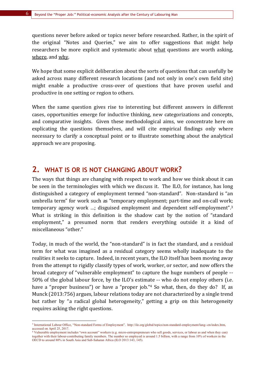questions never before asked or topics never before researched. Rather, in the spirit of the original "Notes and Queries," we aim to offer suggestions that might help researchers be more explicit and systematic about what questions are worth asking, where, and why.

We hope that some explicit deliberation about the sorts of questions that can usefully be asked across many different research locations (and not only in one's own field site) might enable a productive cross-over of questions that have proven useful and productive in one setting or region to others.

When the same question gives rise to interesting but different answers in different cases, opportunities emerge for inductive thinking, new categorizations and concepts, and comparative insights. Given these methodological aims, we concentrate here on explicating the questions themselves, and will cite empirical findings only where necessary to clarify a conceptual point or to illustrate something about the analytical approach we are proposing.

### **2. WHAT IS OR IS NOT CHANGING ABOUT WORK?**

The ways that things are changing with respect to work and how we think about it can be seen in the terminologies with which we discuss it. The ILO, for instance, has long distinguished a category of employment termed "non-standard". Non-standard is "an umbrella term" for work such as "temporary employment; part-time and on-call work; temporary agency work ...; disguised employment and dependent self-employment".<sup>3</sup> What is striking in this definition is the shadow cast by the notion of "standard employment," a presumed norm that renders everything outside it a kind of miscellaneous "other."

Today, in much of the world, the "non-standard" is in fact the standard, and a residual term for what was imagined as a residual category seems wholly inadequate to the realities it seeks to capture. Indeed, in recent years, the ILO itself has been moving away from the attempt to rigidly classify types of work, worker, or sector, and now offers the broad category of "vulnerable employment" to capture the huge numbers of people --50% of the global labour force, by the ILO's estimate -- who do not employ others (i.e. have a "proper business") or have a "proper job."<sup>4</sup> So what, then, do they do? If, as Munck (2013:756) argues, labour relations today are not characterized by a single trend but rather by "a radical global heterogeneity," getting a grip on this heterogeneity requires asking the right questions.

<sup>3</sup> International Labour Office, "Non-standard Forms of Employment". http://ilo.org/global/topics/non-standard-employment/lang--en/index.htm, accessed on April 25, 2017.

<sup>4</sup> Vulnerable employment includes "own account" workers (e.g. micro-entreprepreneurs who sell goods, services, or labour as and when they can) together with their labour-contributing family members. The number so employed is around 1.5 billion, with a range from 10% of workers in the OECD to around 80% in South Asia and Sub-Saharan Africa (ILO 2013:143, 145).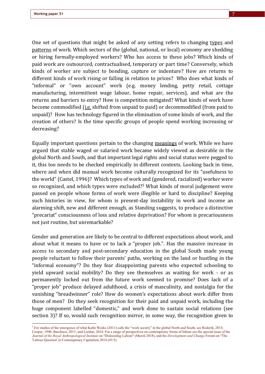One set of questions that might be asked of any setting refers to changing types and patterns of work. Which sectors of the (global, national, or local) economy are shedding or hiring formally-employed workers? Who has access to these jobs? Which kinds of paid work are outsourced, contractualised, temporary or part time? Conversely, which kinds of worker are subject to bonding, capture or indenture? How are returns to different kinds of work rising or falling in relation to prices? Who does what kinds of "informal" or "own account" work (e.g. money lending, petty retail, cottage manufacturing, intermittent wage labour, home repair, services), and what are the returns and barriers to entry? How is competition mitigated? What kinds of work have become commodified (i.e. shifted from unpaid to paid) or decommodified (from paid to unpaid)? How has technology figured in the elimination of some kinds of work, and the creation of others? Is the time specific groups of people spend working increasing or decreasing? 

Equally important questions pertain to the changing meanings of work. While we have argued that stable waged or salaried work became widely viewed as desirable in the global North and South, and that important legal rights and social status were pegged to it, this too needs to be checked empirically in different contexts. Looking back in time, where and when did manual work become culturally recognized for its "usefulness to the world" (Castel, 1996)? Which types of work and (gendered, racialized) worker were so recognized, and which types were excluded?<sup>5</sup> What kinds of moral judgement were passed on people whose forms of work were illegible or hard to discipline? Keeping such histories in view, for whom is present-day instability in work and income an alarming shift, new and different enough, as Standing suggests, to produce a distinctive "precariat" consciousness of loss and relative deprivation? For whom is precariousness not just routine, but unremarkable?

Gender and generation are likely to be central to different expectations about work, and about what it means to have or to lack a "proper job.". Has the massive increase in access to secondary and post-secondary education in the global South made young people reluctant to follow their parents' paths, working on the land or hustling in the "informal economy"? Do they fear disappointing parents who expected schooling to yield upward social mobility? Do they see themselves as waiting for work - or as permanently locked out from the future work seemed to promise? Does lack of a "proper job" produce delayed adulthood, a crisis of masculinity, and nostalgia for the vanishing "breadwinner" role? How do women's expectations about work differ from those of men? Do they seek recognition for their paid and unpaid work, including the huge component labelled "domestic," and work done to sustain social relations (see section 3)? If so, would such recognition mirror, in some way, the recognition given to

<sup>&</sup>lt;sup>5</sup> For studies of the emergence of what Kathi Weeks (2011) calls the "work society" in the global North and South, see Roderik, 2015; Cooper, 1996; Barchiesi, 2011; and Lordon, 2014. For a range of perspectives on contemporary forms of labour see the special issue of the *Journal of the Royal Anthropological Institute* on "Dislocating Labour" (March 2018), and the *Development and Change* Forum on "The 'Labour Question' in Contemporary Capitalism 2014 (45:5).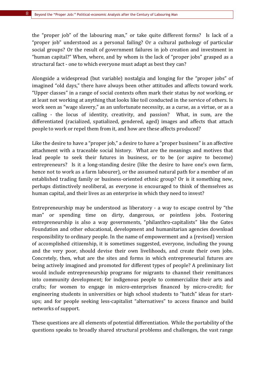the "proper job" of the labouring man," or take quite different forms? Is lack of a "proper job" understood as a personal failing? Or a cultural pathology of particular social groups? Or the result of government failures in job creation and investment in "human capital?" When, where, and by whom is the lack of "proper jobs" grasped as a structural fact - one to which everyone must adapt as best they can?

Alongside a widespread (but variable) nostalgia and longing for the "proper jobs" of imagined "old days," there have always been other attitudes and affects toward work. "Upper classes" in a range of social contexts often mark their status by *not* working, or at least not working at anything that looks like toil conducted in the service of others. Is work seen as "wage slavery," as an unfortunate necessity, as a curse, as a virtue, or as a calling - the locus of identity, creativity, and passion? What, in sum, are the differentiated (racialized, spatialized, gendered, aged) images and affects that attach people to work or repel them from it, and how are these affects produced?

Like the desire to have a "proper job," a desire to have a "proper business" is an affective attachment with a traceable social history. What are the meanings and motives that lead people to seek their futures in business, or to be (or aspire to become) entrepreneurs? Is it a long-standing desire (like the desire to have one's own farm, hence not to work as a farm labourer), or the assumed natural path for a member of an established trading family or business-oriented ethnic group? Or is it something new, perhaps distinctively neoliberal, as everyone is encouraged to think of themselves as human capital, and their lives as an enterprise in which they need to invest?

Entrepreneurship may be understood as liberatory  $-$  a way to escape control by "the man" or spending time on dirty, dangerous, or pointless jobs. Fostering entrepreneurship is also a way governments, "philanthro-capitalists" like the Gates Foundation and other educational, development and humanitarian agencies download responsibility to ordinary people. In the name of empowerment and a (revised) version of accomplished citizenship, it is sometimes suggested, everyone, including the young and the very poor, should devise their own livelihoods, and create their own jobs. Concretely, then, what are the sites and forms in which entrepreneurial futures are being actively imagined and promoted for different types of people? A preliminary list would include entrepreneurship programs for migrants to channel their remittances into community development; for indigenous people to commercialize their arts and crafts; for women to engage in micro-enterprises financed by micro-credit; for engineering students in universities or high school students to "hatch" ideas for startups; and for people seeking less-capitalist "alternatives" to access finance and build networks of support.

These questions are all elements of potential differentiation. While the portability of the questions speaks to broadly shared structural problems and challenges, the vast range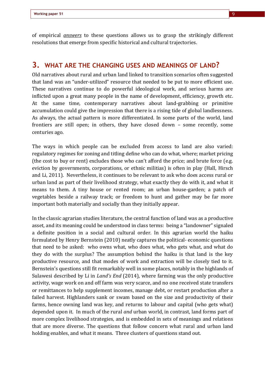of empirical *answers* to these questions allows us to grasp the strikingly different resolutions that emerge from specific historical and cultural trajectories.

#### **3. WHAT ARE THE CHANGING USES AND MEANINGS OF LAND?**

Old narratives about rural and urban land linked to transition scenarios often suggested that land was an "under-utilized" resource that needed to be put to more efficient use. These narratives continue to do powerful ideological work, and serious harms are inflicted upon a great many people in the name of development, efficiency, growth etc. At the same time, contemporary narratives about land-grabbing or primitive accumulation could give the impression that there is a rising tide of global landlessness. As always, the actual pattern is more differentiated. In some parts of the world, land frontiers are still open; in others, they have closed down  $-$  some recently, some centuries ago.

The ways in which people can be excluded from access to land are also varied: regulatory regimes for zoning and titling define who can do what, where; market pricing (the cost to buy or rent) excludes those who can't afford the price; and brute force  $(e.g.,\)$ eviction by governments, corporations, or ethnic militias) is often in play (Hall, Hirsch and Li, 2011). Nevertheless, it continues to be relevant to ask who does access rural or urban land as part of their livelihood strategy, what exactly they do with it, and what it means to them. A tiny house or rented room; an urban house-garden; a patch of vegetables beside a railway track; or freedom to hunt and gather may be far more important both materially and socially than they initially appear.

In the classic agrarian studies literature, the central function of land was as a productive asset, and its meaning could be understood in class terms: being a "landowner" signaled a definite position in a social and cultural order. In this agrarian world the haiku formulated by Henry Bernstein (2010) neatly captures the political-economic questions that need to be asked: who owns what, who does what, who gets what, and what do they do with the surplus? The assumption behind the haiku is that land is the key productive resource, and that modes of work and extraction will be closely tied to it. Bernstein's questions still fit remarkably well in some places, notably in the highlands of Sulawesi described by Li in *Land's End* (2014), where farming was the only productive activity, wage work on and off farm was very scarce, and no one received state transfers or remittances to help supplement incomes, manage debt, or restart production after a failed harvest. Highlanders sank or swam based on the size and productivity of their farms, hence owning land was key, and returns to labour and capital (who gets what) depended upon it. In much of the rural *and* urban world, in contrast, land forms part of more complex livelihood strategies, and is embedded in sets of meanings and relations that are more diverse. The questions that follow concern what rural and urban land holding enables, and what it means. Three clusters of questions stand out.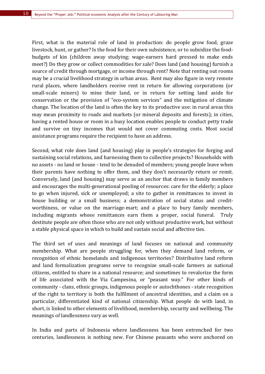First, what is the material role of land in production: do people grow food, graze livestock, hunt, or gather? Is the food for their own subsistence, or to subsidize the foodbudgets of kin (children away studying; wage-earners hard pressed to make ends meet?) Do they grow or collect commodities for sale? Does land (and housing) furnish a source of credit through mortgage, or income through rent? Note that renting out rooms may be a crucial livelihood strategy in urban areas. Rent may also figure in very remote rural places, where landholders receive rent in return for allowing corporations (or small-scale miners) to mine their land, or in return for setting land aside for conservation or the provision of "eco-system services" and the mitigation of climate change. The location of the land is often the key to its productive use: in rural areas this may mean proximity to roads and markets (or mineral deposits and forests); in cities, having a rented house or room in a busy location enables people to conduct petty trade and survive on tiny incomes that would not cover commuting costs. Most social assistance programs require the recipient to have an address.

Second, what role does land (and housing) play in people's strategies for forging and sustaining social relations, and harnessing them to collective projects? Households with no assets - no land or house - tend to be denuded of members; young people leave when their parents have nothing to offer them, and they don't necessarily return or remit. Conversely, land (and housing) may serve as an anchor that draws in family members and encourages the multi-generational pooling of resources: care for the elderly; a place to go when injured, sick or unemployed; a site to gather in remittances to invest in house building or a small business; a demonstration of social status and creditworthiness, or value on the marriage-mart; and a place to bury family members, including migrants whose remittances earn them a proper, social funeral. Truly destitute people are often those who are not only without productive work, but without a stable physical space in which to build and sustain social and affective ties.

The third set of uses and meanings of land focuses on national and community membership. What are people struggling for, when they demand land reform, or recognition of ethnic homelands and indigenous territories? Distributive land reform and land formalization programs serve to recognize small-scale farmers as national citizens, entitled to share in a national resource; and sometimes to revalorize the form of life associated with the Via Campesina, or "peasant way." For other kinds of community - clans, ethnic groups, indigenous people or autochthones - state recognition of the right to territory is both the fulfilment of ancestral identities, and a claim on a particular, differentiated kind of national citizenship. What people do with land, in short, is linked to other elements of livelihood, membership, security and wellbeing. The meanings of landlessness vary as well.

In India and parts of Indonesia where landlessness has been entrenched for two centuries, landlessness is nothing new. For Chinese peasants who were anchored on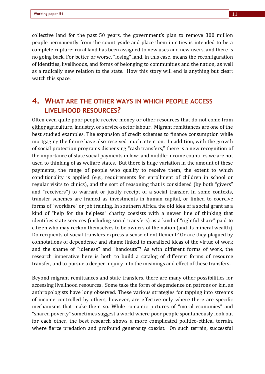collective land for the past 50 years, the government's plan to remove 300 million people permanently from the countryside and place them in cities is intended to be a complete rupture: rural land has been assigned to new uses and new users, and there is no going back. For better or worse, "losing" land, in this case, means the reconfiguration of identities, livelihoods, and forms of belonging to communities and the nation, as well as a radically new relation to the state. How this story will end is anything but clear: watch this space.

# **4. WHAT ARE THE OTHER WAYS IN WHICH PEOPLE ACCESS LIVELIHOOD RESOURCES?**

Often even quite poor people receive money or other resources that do not come from either agriculture, industry, or service-sector labour. Migrant remittances are one of the best studied examples. The expansion of credit schemes to finance consumption while mortgaging the future have also received much attention. In addition, with the growth of social protection programs dispensing "cash transfers," there is a new recognition of the importance of state social payments in low- and middle-income countries we are not used to thinking of as welfare states. But there is huge variation in the amount of these payments, the range of people who qualify to receive them, the extent to which conditionality is applied (e.g., requirements for enrollment of children in school or regular visits to clinics), and the sort of reasoning that is considered (by both "givers" and "receivers") to warrant or justify receipt of a social transfer. In some contexts, transfer schemes are framed as investments in human capital, or linked to coercive forms of "workfare" or job training. In southern Africa, the old idea of a social grant as a kind of "help for the helpless" charity coexists with a newer line of thinking that identifies state services (including social transfers) as a kind of "rightful share" paid to citizen who may reckon themselves to be owners of the nation (and its mineral wealth). Do recipients of social transfers express a sense of entitlement? Or are they plagued by connotations of dependence and shame linked to moralized ideas of the virtue of work and the shame of "idleness" and "handouts"? As with different forms of work, the research imperative here is both to build a catalog of different forms of resource transfer, and to pursue a deeper inquiry into the meanings and effect of these transfers.

Beyond migrant remittances and state transfers, there are many other possibilities for accessing livelihood resources. Some take the form of dependence on patrons or kin, as anthropologists have long observed. These various strategies for tapping into streams of income controlled by others, however, are effective only where there are specific mechanisms that make them so. While romantic pictures of "moral economies" and "shared poverty" sometimes suggest a world where poor people spontaneously look out for each other, the best research shows a more complicated politico-ethical terrain, where fierce predation and profound generosity coexist. On such terrain, successful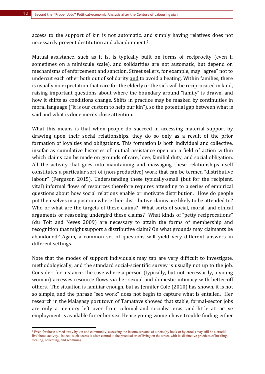access to the support of kin is not automatic, and simply having relatives does not necessarily prevent destitution and abandonment.<sup>6</sup>

Mutual assistance, such as it is, is typically built on forms of reciprocity (even if sometimes on a miniscule scale), and solidarities are not automatic, but depend on mechanisms of enforcement and sanction. Street sellers, for example, may "agree" not to undercut each other both out of solidarity and to avoid a beating. Within families, there is usually no expectation that care for the elderly or the sick will be reciprocated in kind, raising important questions about where the boundary around "family" is drawn, and how it shifts as conditions change. Shifts in practice may be masked by continuities in moral language ("it is our custom to help our kin"), so the potential gap between what is said and what is done merits close attention.

What this means is that when people do succeed in accessing material support by drawing upon their social relationships, they do so only as a result of the prior formation of loyalties and obligations. This formation is both individual and collective, insofar as cumulative histories of mutual assistance open up a field of action within which claims can be made on grounds of care, love, familial duty, and social obligation. All the activity that goes into maintaining and massaging these relationships itself constitutes a particular sort of (non-productive) work that can be termed "distributive labour" (Ferguson 2015). Understanding these typically-small (but for the recipient, vital) informal flows of resources therefore requires attending to a series of empirical questions about how social relations enable or motivate distribution. How do people put themselves in a position where their distributive claims are likely to be attended to? Who or what are the targets of these claims? What sorts of social, moral, and ethical arguments or reasoning undergird these claims? What kinds of "petty reciprocations" (du Toit and Neves 2009) are necessary to attain the forms of membership and recognition that might support a distributive claim? On what grounds may claimants be abandoned? Again, a common set of questions will yield very different answers in different settings.

Note that the modes of support individuals may tap are very difficult to investigate, methodologically, and the standard social-scientific survey is usually not up to the job. Consider, for instance, the case where a person (typically, but not necessarily, a young woman) accesses resource flows via her sexual and domestic intimacy with better-off others. The situation is familiar enough, but as Jennifer Cole (2010) has shown, it is not so simple, and the phrase "sex work" does not begin to capture what is entailed. Her research in the Malagasy port town of Tamatave showed that stable, formal-sector jobs are only a memory left over from colonial and socialist eras, and little attractive employment is available for either sex. Hence young women have trouble finding either

<sup>6</sup> Even for those turned away by kin and community, accessing the income streams of others (by hook or by crook) may still be a crucial livelihood activity. Indeed, such access is often central to the practical art of living on the street, with its distinctive practices of hustling, stealing, collecting, and scamming.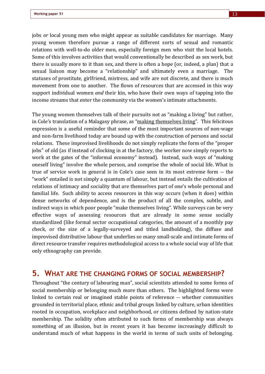jobs *or* local young men who might appear as suitable candidates for marriage. Many young women therefore pursue a range of different sorts of sexual and romantic relations with well-to-do older men, especially foreign men who visit the local hotels. Some of this involves activities that would conventionally be described as sex work, but there is usually more to it than sex, and there is often a hope (or, indeed, a plan) that a sexual liaison may become a "relationship" and ultimately even a marriage. The statuses of prostitute, girlfriend, mistress, and wife are not discrete, and there is much movement from one to another. The flows of resources that are accessed in this way support individual women *and* their kin, who have their own ways of tapping into the income streams that enter the community via the women's intimate attachments.

The young women themselves talk of their pursuits not as "making a living" but rather, in Cole's translation of a Malagasy phrase, as "making themselves living". This felicitous expression is a useful reminder that some of the most important sources of non-wage and non-farm livelihood today are bound up with the construction of persons and social relations. These improvised livelihoods do not simply replicate the form of the "proper jobs" of old (as if instead of clocking in at the factory, the worker now simply reports to work at the gates of the "informal economy" instead). Instead, such ways of "making oneself living" involve the whole person, and comprise the whole of social life. What is true of service work in general is in Cole's case seen in its most extreme form -- the "work" entailed is not simply a quantum of labour, but instead entails the cultivation of relations of intimacy and sociality that are themselves part of one's whole personal and familial life. Such ability to access resources in this way occurs (when it does) within dense networks of dependence, and is the product of all the complex, subtle, and indirect ways in which poor people "make themselves living". While surveys can be very effective ways of assessing resources that are already in some sense socially standardized (like formal sector occupational categories, the amount of a monthly pay check, or the size of a legally-surveyed and titled landholding), the diffuse and improvised distributive labour that underlies so many small-scale and intimate forms of direct resource transfer requires methodological access to a whole social way of life that only ethnography can provide.

### **5. WHAT ARE THE CHANGING FORMS OF SOCIAL MEMBERSHIP?**

Throughout "the century of labouring man", social scientists attended to some forms of social membership or belonging much more than others. The highlighted forms were linked to certain real or imagined stable points of reference -- whether communities grounded in territorial place, ethnic and tribal groups linked by culture, urban identities rooted in occupation, workplace and neighborhood, or citizens defined by nation-state membership. The solidity often attributed to such forms of membership was always something of an illusion, but in recent years it has become increasingly difficult to understand much of what happens in the world in terms of such units of belonging.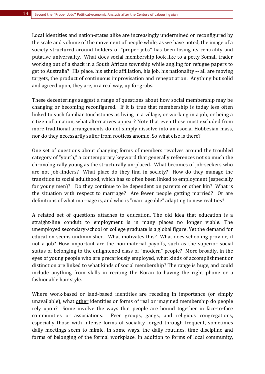Local identities and nation-states alike are increasingly undermined or reconfigured by the scale and volume of the movement of people while, as we have noted, the image of a society structured around holders of "proper jobs" has been losing its centrality and putative universality. What does social membership look like to a petty Somali trader working out of a shack in a South African township while angling for refugee papers to get to Australia? His place, his ethnic affiliation, his job, his nationality -- all are moving targets, the product of continuous improvisation and renegotiation. Anything but solid and agreed upon, they are, in a real way, up for grabs.

These decenterings suggest a range of questions about how social membership may be changing or becoming reconfigured. If it is true that membership is today less often linked to such familiar touchstones as living in a village, or working in a job, or being a citizen of a nation, what alternatives appear? Note that even those most excluded from more traditional arrangements do not simply dissolve into an asocial Hobbesian mass, nor do they necessarily suffer from rootless anomie. So what else is there?

One set of questions about changing forms of members revolves around the troubled category of "youth," a contemporary keyword that generally references not so much the chronologically young as the structurally un-placed. What becomes of job-seekers who are not job-finders? What place do they find in society? How do they manage the transition to social adulthood, which has so often been linked to employment (especially for young men)? Do they continue to be dependent on parents or other kin? What is the situation with respect to marriage? Are fewer people getting married? Or are definitions of what marriage is, and who is "marriageable" adapting to new realities?

A related set of questions attaches to education. The old idea that education is a straight-line conduit to employment is in many places no longer viable. The unemployed secondary-school or college graduate is a global figure. Yet the demand for education seems undiminished. What motivates this? What does schooling provide, if not a job? How important are the non-material payoffs, such as the superior social status of belonging to the enlightened class of "modern" people? More broadly, in the eyes of young people who are precariously employed, what kinds of accomplishment or distinction are linked to what kinds of social membership? The range is huge, and could include anything from skills in reciting the Koran to having the right phone or a fashionable hair style.

Where work-based or land-based identities are receding in importance (or simply unavailable), what other identities or forms of real or imagined membership do people rely upon? Some involve the ways that people are bound together in face-to-face communities or associations. Peer groups, gangs, and religious congregations, especially those with intense forms of sociality forged through frequent, sometimes daily meetings seem to mimic, in some ways, the daily routines, time discipline and forms of belonging of the formal workplace. In addition to forms of local community,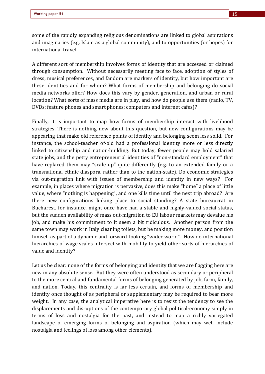some of the rapidly expanding religious denominations are linked to global aspirations and imaginaries (e.g. Islam as a global community), and to opportunities (or hopes) for international travel.

A different sort of membership involves forms of identity that are accessed or claimed through consumption. Without necessarily meeting face to face, adoption of styles of dress, musical preferences, and fandom are markers of identity, but how important are these identities and for whom? What forms of membership and belonging do social media networks offer? How does this vary by gender, generation, and urban or rural location? What sorts of mass media are in play, and how do people use them (radio, TV, DVDs; feature phones and smart phones; computers and internet cafes)?

Finally, it is important to map how forms of membership interact with livelihood strategies. There is nothing new about this question, but new configurations may be appearing that make old reference points of identity and belonging seem less solid. For instance, the school-teacher of-old had a professional identity more or less directly linked to citizenship and nation-building. But today, fewer people may hold salaried state jobs, and the petty entrepreneurial identities of "non-standard employment" that have replaced them may "scale up" quite differently (e.g. to an extended family or a transnational ethnic diaspora, rather than to the nation-state). Do economic strategies via out-migration link with issues of membership and identity in new ways? For example, in places where migration is pervasive, does this make "home" a place of little value, where "nothing is happening", and one kills time until the next trip abroad? Are there new configurations linking place to social standing? A state bureaucrat in Bucharest, for instance, might once have had a stable and highly-valued social status, but the sudden availability of mass out-migration to EU labour markets may devalue his job, and make his commitment to it seem a bit ridiculous. Another person from the same town may work in Italy cleaning toilets, but be making more money, and position himself as part of a dynamic and forward-looking "wider world". How do international hierarchies of wage scales intersect with mobility to yield other sorts of hierarchies of value and identity?

Let us be clear: none of the forms of belonging and identity that we are flagging here are new in any absolute sense. But they were often understood as secondary or peripheral to the more central and fundamental forms of belonging generated by job, farm, family, and nation. Today, this centrality is far less certain, and forms of membership and identity once thought of as peripheral or supplementary may be required to bear more weight. In any case, the analytical imperative here is to resist the tendency to see the displacements and disruptions of the contemporary global political-economy simply in terms of loss and nostalgia for the past, and instead to map a richly variegated landscape of emerging forms of belonging and aspiration (which may well include nostalgia and feelings of loss among other elements).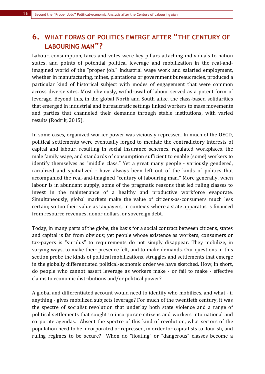# **6. WHAT FORMS OF POLITICS EMERGE AFTER "THE CENTURY OF LABOURING MAN"?**

Labour, consumption, taxes and votes were key pillars attaching individuals to nation states, and points of potential political leverage and mobilization in the real-andimagined world of the "proper job." Industrial wage work and salaried employment, whether in manufacturing, mines, plantations or government bureaucracies, produced a particular kind of historical subject with modes of engagement that were common across diverse sites. Most obviously, withdrawal of labour served as a potent form of leverage. Beyond this, in the global North and South alike, the class-based solidarities that emerged in industrial and bureaucratic settings linked workers to mass movements and parties that channeled their demands through stable institutions, with varied results (Rodrik, 2015).

In some cases, organized worker power was viciously repressed. In much of the OECD, political settlements were eventually forged to mediate the contradictory interests of capital and labour, resulting in social insurance schemes, regulated workplaces, the male family wage, and standards of consumption sufficient to enable (some) workers to identify themselves as "middle class." Yet a great many people - variously gendered, racialized and spatialized - have always been left out of the kinds of politics that accompanied the real-and-imagined "century of labouring man." More generally, when labour is in abundant supply, some of the pragmatic reasons that led ruling classes to invest in the maintenance of a healthy and productive workforce evaporate. Simultaneously, global markets make the value of citizens-as-consumers much less certain; so too their value as taxpayers, in contexts where a state apparatus is financed from resource revenues, donor dollars, or sovereign debt.

Today, in many parts of the globe, the basis for a social contract between citizens, states and capital is far from obvious; yet people whose existence as workers, consumers or tax-payers is "surplus" to requirements do not simply disappear. They mobilize, in varying ways, to make their presence felt, and to make demands. Our questions in this section probe the kinds of political mobilizations, struggles and settlements that emerge in the globally differentiated political-economic order we have sketched. How, in short, do people who cannot assert leverage as workers make - or fail to make - effective claims to economic distributions and/or political power?

A global and differentiated account would need to identify who mobilizes, and what - if anything - gives mobilized subjects leverage? For much of the twentieth century, it was the spectre of socialist revolution that underlay both state violence and a range of political settlements that sought to incorporate citizens and workers into national and corporate agendas. Absent the spectre of this kind of revolution, what sectors of the population need to be incorporated or repressed, in order for capitalists to flourish, and ruling regimes to be secure? When do "floating" or "dangerous" classes become a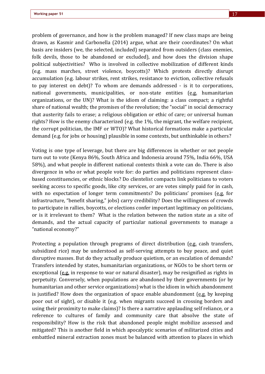problem of governance, and how is the problem managed? If new class maps are being drawn, as Kasmir and Carbonella (2014) argue, what are their coordinates? On what basis are insiders (we, the selected, included) separated from outsiders (class enemies, folk devils, those to be abandoned or excluded), and how does the division shape political subjectivities? Who is involved in collective mobilization of different kinds (e.g. mass marches, street violence, boycotts)? Which protests directly disrupt accumulation (e.g. labour strikes, rent strikes, resistance to eviction, collective refusals to pay interest on debt)? To whom are demands addressed - is it to corporations, national governments, municipalities, or non-state entities (e.g. humanitarian organizations, or the UN)? What is the idiom of claiming: a class compact; a rightful share of national wealth; the promises of the revolution; the "social" in social democracy that austerity fails to erase; a religious obligation or ethic of care; or universal human rights? How is the enemy characterized (e.g. the  $1\%$ , the migrant, the welfare recipient, the corrupt politician, the IMF or WTO)? What historical formations make a particular demand (e.g. for jobs or housing) plausible in some contexts, but unthinkable in others?

Voting is one type of leverage, but there are big differences in whether or not people turn out to vote (Kenya 86%, South Africa and Indonesia around 75%, India 66%, USA 58%), and what people in different national contexts think a vote can do. There is also divergence in who or what people vote for: do parties and politicians represent classbased constituencies, or ethnic blocks? Do clientelist compacts link politicians to voters seeking access to specific goods, like city services, or are votes simply paid for in cash, with no expectation of longer term commitments? Do politicians' promises  $(e.g.$  for infrastructure, "benefit sharing," jobs) carry credibility? Does the willingness of crowds to participate in rallies, boycotts, or elections confer important legitimacy on politicians, or is it irrelevant to them? What is the relation between the nation state as a site of demands, and the actual capacity of particular national governments to manage a "national economy?"

Protecting a population through programs of direct distribution  $(e.g., a)$  transfers, subsidized rice) may be understood as self-serving attempts to buy peace, and quiet disruptive masses. But do they actually produce quietism, or an escalation of demands? Transfers intended by states, humanitarian organizations, or NGOs to be short term or exceptional (e.g. in response to war or natural disaster), may be resignified as rights in perpetuity. Conversely, when populations are abandoned by their governments (or by humanitarian and other service organizations) what is the idiom in which abandonment is justified? How does the organization of space enable abandonment  $(e.g.$  by keeping poor out of sight), or disable it (e.g. when migrants succeed in crossing borders and using their proximity to make claims)? Is there a narrative applauding self reliance, or a reference to cultures of family and community care that absolve the state of responsibility? How is the risk that abandoned people might mobilize assessed and mitigated? This is another field in which apocalyptic scenarios of militarized cities and embattled mineral extraction zones must be balanced with attention to places in which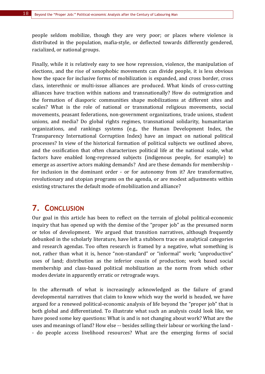people seldom mobilize, though they are very poor; or places where violence is distributed in the population, mafia-style, or deflected towards differently gendered, racialized, or national groups.

Finally, while it is relatively easy to see how repression, violence, the manipulation of elections, and the rise of xenophobic movements can divide people, it is less obvious how the space for inclusive forms of mobilization is expanded, and cross border, cross class, interethnic or multi-issue alliances are produced. What kinds of cross-cutting alliances have traction within nations and transnationally? How do outmigration and the formation of diasporic communities shape mobilizations at different sites and scales? What is the role of national or transnational religious movements, social movements, peasant federations, non-government organizations, trade unions, student unions, and media? Do global rights regimes, transnational solidarity, humanitarian organizations, and rankings systems (e.g., the Human Development Index, the Transparency International Corruption Index) have an impact on national political processes? In view of the historical formation of political subjects we outlined above, and the ossification that often characterizes political life at the national scale, what factors have enabled long-repressed subjects (indigenous people, for example) to emerge as assertive actors making demands? And are these demands for membership for inclusion in the dominant order - or for autonomy from it? Are transformative, revolutionary and utopian programs on the agenda, or are modest adjustments within existing structures the default mode of mobilization and alliance?

# **7. CONCLUSION**

Our goal in this article has been to reflect on the terrain of global political-economic inquiry that has opened up with the demise of the "proper job" as the presumed norm or telos of development. We argued that transition narratives, although frequently debunked in the scholarly literature, have left a stubborn trace on analytical categories and research agendas. Too often research is framed by a negative, what something is not, rather than what it is, hence "non-standard" or "informal" work; "unproductive" uses of land; distribution as the inferior cousin of production; work based social membership and class-based political mobilization as the norm from which other modes deviate in apparently erratic or retrograde ways.

In the aftermath of what is increasingly acknowledged as the failure of grand developmental narratives that claim to know which way the world is headed, we have argued for a renewed political-economic analysis of life beyond the "proper job" that is both global and differentiated. To illustrate what such an analysis could look like, we have posed some key questions: What is and is not changing about work? What are the uses and meanings of land? How else -- besides selling their labour or working the land -- do people access livelihood resources? What are the emerging forms of social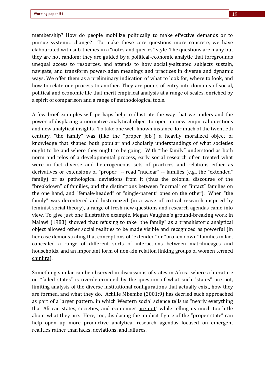membership? How do people mobilize politically to make effective demands or to pursue systemic change? To make these core questions more concrete, we have elabourated with sub-themes in a "notes and queries" style. The questions are many but they are not random: they are guided by a political-economic analytic that foregrounds unequal access to resources, and attends to how socially-situated subjects sustain, navigate, and transform power-laden meanings and practices in diverse and dynamic ways. We offer them as a preliminary indication of what to look for, where to look, and how to relate one process to another. They are points of entry into domains of social, political and economic life that merit empirical analysis at a range of scales, enriched by a spirit of comparison and a range of methodological tools.

A few brief examples will perhaps help to illustrate the way that we understand the power of displacing a normative analytical object to open up new empirical questions and new analytical insights. To take one well-known instance, for much of the twentieth century, "the family" was (like the "proper job") a heavily moralized object of knowledge that shaped both popular and scholarly understandings of what societies ought to be and where they ought to be going. With "the family" understood as both norm and telos of a developmental process, early social research often treated what were in fact diverse and heterogeneous sets of practices and relations either as derivatives or extensions of "proper" -- read "nuclear" -- families  $(e.g., the "extended"$ family) or as pathological deviations from it (thus the colonial discourse of the "breakdown" of families, and the distinctions between "normal" or "intact" families on the one hand, and "female-headed" or "single-parent" ones on the other). When "the family" was decentered and historicized (in a wave of critical research inspired by feminist social theory), a range of fresh new questions and research agendas came into view. To give just one illustrative example, Megan Vaughan's ground-breaking work in Malawi (1983) showed that refusing to take "the family" as a transhistoric analytical object allowed other social realities to be made visible and recognized as powerful (in her case demonstrating that conceptions of "extended" or "broken down" families in fact concealed a range of different sorts of interactions between matrilineages and households, and an important form of non-kin relation linking groups of women termed chinjira). 

Something similar can be observed in discussions of states in Africa, where a literature on "failed states" is overdetermined by the question of what such "states" are not, limiting analysis of the diverse institutional configurations that actually exist, how they are formed, and what they do. Achille Mbembe (2001:9) has decried such approached as part of a larger pattern, in which Western social science tells us "nearly everything that African states, societies, and economies are not" while telling us much too little about what they are. Here, too, displacing the implicit figure of the "proper state" can help open up more productive analytical research agendas focused on emergent realities rather than lacks, deviations, and failures.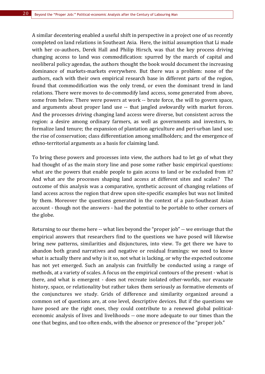A similar decentering enabled a useful shift in perspective in a project one of us recently completed on land relations in Southeast Asia. Here, the initial assumption that Li made with her co-authors, Derek Hall and Philip Hirsch, was that the key process driving changing access to land was commodification: spurred by the march of capital and neoliberal policy agendas, the authors thought the book would document the increasing dominance of markets-markets everywhere. But there was a problem: none of the authors, each with their own empirical research base in different parts of the region, found that commodification was the only trend, or even the dominant trend in land relations. There were moves to de-commodify land access, some generated from above, some from below. There were powers at work -- brute force, the will to govern space, and arguments about proper land use -- that jangled awkwardly with market forces. And the processes driving changing land access were diverse, but consistent across the region: a desire among ordinary farmers, as well as governments and investors, to formalize land tenure; the expansion of plantation agriculture and peri-urban land use; the rise of conservation; class differentiation among smallholders; and the emergence of ethno-territorial arguments as a basis for claiming land.

To bring these powers and processes into view, the authors had to let go of what they had thought of as the main story line and pose some rather basic empirical questions: what are the powers that enable people to gain access to land or be excluded from it? And what are the processes shaping land access at different sites and scales? The outcome of this analysis was a comparative, synthetic account of changing relations of land access across the region that drew upon site-specific examples but was not limited by them. Moreover the questions generated in the context of a pan-Southeast Asian account - though not the answers - had the potential to be portable to other corners of the globe.

Returning to our theme here -- what lies beyond the "proper job" -- we envisage that the empirical answers that researchers find to the questions we have posed will likewise bring new patterns, similarities and disjunctures, into view. To get there we have to abandon both grand narratives and negative or residual framings: we need to know what is actually there and why is it so, not what is lacking, or why the expected outcome has not yet emerged. Such an analysis can fruitfully be conducted using a range of methods, at a variety of scales. A focus on the empirical contours of the present - what is there, and what is emergent - does not recreate isolated other-worlds, nor evacuate history, space, or relationality but rather takes them seriously as formative elements of the conjunctures we study. Grids of difference and similarity organized around a common set of questions are, at one level, descriptive devices. But if the questions we have posed are the right ones, they could contribute to a renewed global politicaleconomic analysis of lives and livelihoods -- one more adequate to our times than the one that begins, and too often ends, with the absence or presence of the "proper job."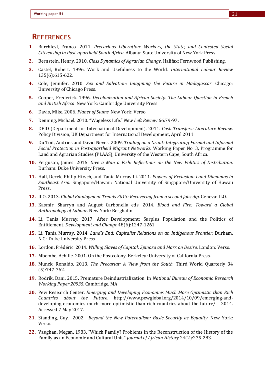### **REFERENCES**

- **1.** Barchiesi, Franco. 2011. *Precarious Liberation: Workers, the State, and Contested Social Citizenship in Post-apartheid South Africa.* Albany: State University of New York Press.
- **2.** Bernstein, Henry. 2010. *Class Dynamics of Agrarian Change*. Halifax: Fernwood Publishing.
- **3.** Castel, Robert. 1996. Work and Usefulness to the World. International Labour Review 135(6):615-622.
- **4.** Cole, Jennifer. 2010. *Sex and Salvation: Imagining the Future in Madagascar.* Chicago: University of Chicago Press.
- **5.** Cooper, Frederick. 1996. *Decolonization and African Society: The Labour Question in French* and British Africa. New York: Cambridge University Press.
- **6.** Davis, Mike. 2006. *Planet of Slums*. New York: Verso.
- **7.** Denning, Michael. 2010. "Wageless Life." New Left Review 66:79-97.
- **8.** DFID (Department for International Development). 2011. *Cash Transfers: Literature Review.* Policy Division, UK Department for International Development, April 2011.
- **9.** Du Toit, Andries and David Neves. 2009. *Trading on a Grant: Integrating Formal and Informal Social Protection in Post-apartheid Migrant Networks*. Working Paper No. 3, Programme for Land and Agrarian Studies (PLAAS), University of the Western Cape, South Africa.
- **10.** Ferguson, James. 2015. *Give a Man a Fish: Reflections on the New Politics of Distribution.* Durham: Duke University Press.
- **11.** Hall, Derek, Philip Hirsch, and Tania Murray Li. 2011. *Powers of Exclusion: Land Dilemmas in Southeast Asia*. Singapore/Hawaii: National University of Singapore/University of Hawaii Press.
- **12.** ILO. 2013. *Global Employment Trends 2013: Recovering from a second jobs dip.* Geneva: ILO.
- 13. Kasmir, Sharryn and August Carbonella eds. 2014. *Blood and Fire: Toward a Global Anthropology of Labour*. New York: Berghahn
- **14.** Li, Tania Murray. 2017. After Development: Surplus Population and the Politics of Entitlement. *Development and Change* 48(6):1247-1261
- **15.** Li, Tania Murray. 2014. *Land's End: Capitalist Relations on an Indigenous Frontier*. Durham, N.C.: Duke University Press.
- **16.** Lordon, Frédéric. 2014. *Willing Slaves of Capital: Spinoza and Marx on Desire*. London: Verso.
- **17.** Mbembe, Achille. 2001. On the Postcolony. Berkeley: University of California Press.
- **18.** Munck, Ronaldo. 2013. *The Precariat: A View from the South*. Third World Quarterly 34 (5):747-762.
- **19.** Rodrik, Dani. 2015. Premature Deindustrialization. In *National Bureau of Economic Research Working Paper 20935.* Cambridge, MA.
- **20.** Pew Research Center. *Emerging and Developing Economies Much More Optimistic than Rich Countries about the Future*. http://www.pewglobal.org/2014/10/09/emerging-anddeveloping-economies-much-more-optimistic-than-rich-countries-about-the-future/ 2014. Accessed 7 May 2017.
- **21.** Standing, Guy. 2002. *Beyond the New Paternalism: Basic Security as Equality*. New York: Verso.
- **22.** Vaughan, Megan. 1983. "Which Family? Problems in the Reconstruction of the History of the Family as an Economic and Cultural Unit." *Journal of African History* 24(2):275-283.